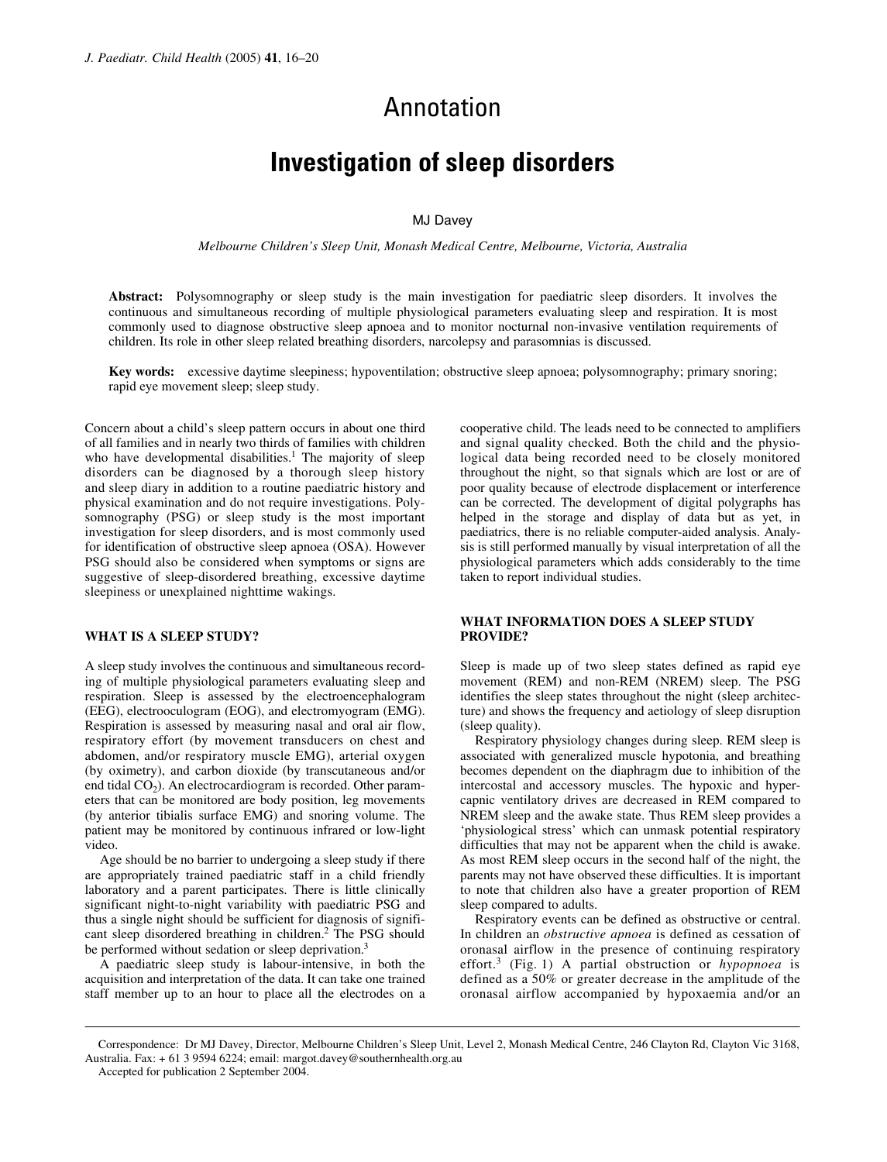# Annotation

# **Investigation of sleep disorders**

### MJ Davey

*Melbourne Children's Sleep Unit, Monash Medical Centre, Melbourne, Victoria, Australia*

**Abstract:** Polysomnography or sleep study is the main investigation for paediatric sleep disorders. It involves the continuous and simultaneous recording of multiple physiological parameters evaluating sleep and respiration. It is most commonly used to diagnose obstructive sleep apnoea and to monitor nocturnal non-invasive ventilation requirements of children. Its role in other sleep related breathing disorders, narcolepsy and parasomnias is discussed.

**Key words:** excessive daytime sleepiness; hypoventilation; obstructive sleep apnoea; polysomnography; primary snoring; rapid eye movement sleep; sleep study.

Concern about a child's sleep pattern occurs in about one third of all families and in nearly two thirds of families with children who have developmental disabilities.<sup>1</sup> The majority of sleep disorders can be diagnosed by a thorough sleep history and sleep diary in addition to a routine paediatric history and physical examination and do not require investigations. Polysomnography (PSG) or sleep study is the most important investigation for sleep disorders, and is most commonly used for identification of obstructive sleep apnoea (OSA). However PSG should also be considered when symptoms or signs are suggestive of sleep-disordered breathing, excessive daytime sleepiness or unexplained nighttime wakings.

## **WHAT IS A SLEEP STUDY?**

A sleep study involves the continuous and simultaneous recording of multiple physiological parameters evaluating sleep and respiration. Sleep is assessed by the electroencephalogram (EEG), electrooculogram (EOG), and electromyogram (EMG). Respiration is assessed by measuring nasal and oral air flow, respiratory effort (by movement transducers on chest and abdomen, and/or respiratory muscle EMG), arterial oxygen (by oximetry), and carbon dioxide (by transcutaneous and/or end tidal  $CO<sub>2</sub>$ ). An electrocardiogram is recorded. Other parameters that can be monitored are body position, leg movements (by anterior tibialis surface EMG) and snoring volume. The patient may be monitored by continuous infrared or low-light video.

Age should be no barrier to undergoing a sleep study if there are appropriately trained paediatric staff in a child friendly laboratory and a parent participates. There is little clinically significant night-to-night variability with paediatric PSG and thus a single night should be sufficient for diagnosis of significant sleep disordered breathing in children.2 The PSG should be performed without sedation or sleep deprivation.<sup>3</sup>

A paediatric sleep study is labour-intensive, in both the acquisition and interpretation of the data. It can take one trained staff member up to an hour to place all the electrodes on a cooperative child. The leads need to be connected to amplifiers and signal quality checked. Both the child and the physiological data being recorded need to be closely monitored throughout the night, so that signals which are lost or are of poor quality because of electrode displacement or interference can be corrected. The development of digital polygraphs has helped in the storage and display of data but as yet, in paediatrics, there is no reliable computer-aided analysis. Analysis is still performed manually by visual interpretation of all the physiological parameters which adds considerably to the time taken to report individual studies.

### **WHAT INFORMATION DOES A SLEEP STUDY PROVIDE?**

Sleep is made up of two sleep states defined as rapid eye movement (REM) and non-REM (NREM) sleep. The PSG identifies the sleep states throughout the night (sleep architecture) and shows the frequency and aetiology of sleep disruption (sleep quality).

Respiratory physiology changes during sleep. REM sleep is associated with generalized muscle hypotonia, and breathing becomes dependent on the diaphragm due to inhibition of the intercostal and accessory muscles. The hypoxic and hypercapnic ventilatory drives are decreased in REM compared to NREM sleep and the awake state. Thus REM sleep provides a 'physiological stress' which can unmask potential respiratory difficulties that may not be apparent when the child is awake. As most REM sleep occurs in the second half of the night, the parents may not have observed these difficulties. It is important to note that children also have a greater proportion of REM sleep compared to adults.

Respiratory events can be defined as obstructive or central. In children an *obstructive apnoea* is defined as cessation of oronasal airflow in the presence of continuing respiratory effort.3 (Fig. 1) A partial obstruction or *hypopnoea* is defined as a 50% or greater decrease in the amplitude of the oronasal airflow accompanied by hypoxaemia and/or an

Correspondence: Dr MJ Davey, Director, Melbourne Children's Sleep Unit, Level 2, Monash Medical Centre, 246 Clayton Rd, Clayton Vic 3168, Australia. Fax: + 61 3 9594 6224; email: margot.davey@southernhealth.org.au

Accepted for publication 2 September 2004.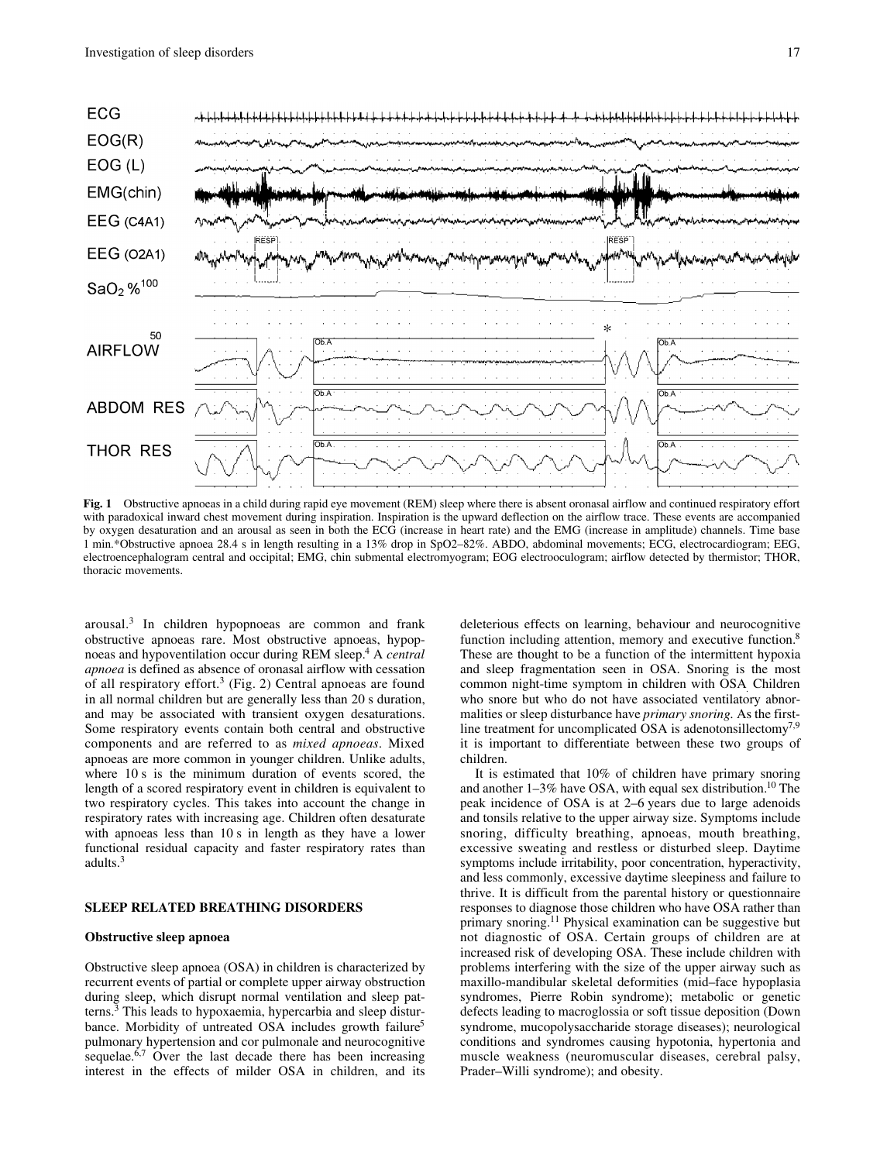

**Fig. 1** Obstructive apnoeas in a child during rapid eye movement (REM) sleep where there is absent oronasal airflow and continued respiratory effort with paradoxical inward chest movement during inspiration. Inspiration is the upward deflection on the airflow trace. These events are accompanied by oxygen desaturation and an arousal as seen in both the ECG (increase in heart rate) and the EMG (increase in amplitude) channels. Time base 1 min.\*Obstructive apnoea 28.4 s in length resulting in a 13% drop in SpO2–82%. ABDO, abdominal movements; ECG, electrocardiogram; EEG, electroencephalogram central and occipital; EMG, chin submental electromyogram; EOG electrooculogram; airflow detected by thermistor; THOR, thoracic movements.

arousal.3 In children hypopnoeas are common and frank obstructive apnoeas rare. Most obstructive apnoeas, hypopnoeas and hypoventilation occur during REM sleep.4 A *central apnoea* is defined as absence of oronasal airflow with cessation of all respiratory effort.<sup>3</sup> (Fig. 2) Central apnoeas are found in all normal children but are generally less than 20 s duration, and may be associated with transient oxygen desaturations. Some respiratory events contain both central and obstructive components and are referred to as *mixed apnoeas*. Mixed apnoeas are more common in younger children. Unlike adults, where 10 s is the minimum duration of events scored, the length of a scored respiratory event in children is equivalent to two respiratory cycles. This takes into account the change in respiratory rates with increasing age. Children often desaturate with apnoeas less than 10 s in length as they have a lower functional residual capacity and faster respiratory rates than adults.3

## **SLEEP RELATED BREATHING DISORDERS**

#### **Obstructive sleep apnoea**

Obstructive sleep apnoea (OSA) in children is characterized by recurrent events of partial or complete upper airway obstruction during sleep, which disrupt normal ventilation and sleep patterns.3 This leads to hypoxaemia, hypercarbia and sleep disturbance. Morbidity of untreated OSA includes growth failure<sup>5</sup> pulmonary hypertension and cor pulmonale and neurocognitive sequelae. $6,7$  Over the last decade there has been increasing interest in the effects of milder OSA in children, and its

deleterious effects on learning, behaviour and neurocognitive function including attention, memory and executive function.<sup>8</sup> These are thought to be a function of the intermittent hypoxia and sleep fragmentation seen in OSA. Snoring is the most common night-time symptom in children with OSA. Children who snore but who do not have associated ventilatory abnormalities or sleep disturbance have *primary snoring.* As the firstline treatment for uncomplicated OSA is adenotonsillectomy<sup>7,9</sup> it is important to differentiate between these two groups of children.

It is estimated that 10% of children have primary snoring and another  $1-3\%$  have OSA, with equal sex distribution.<sup>10</sup> The peak incidence of OSA is at 2–6 years due to large adenoids and tonsils relative to the upper airway size. Symptoms include snoring, difficulty breathing, apnoeas, mouth breathing, excessive sweating and restless or disturbed sleep. Daytime symptoms include irritability, poor concentration, hyperactivity, and less commonly, excessive daytime sleepiness and failure to thrive. It is difficult from the parental history or questionnaire responses to diagnose those children who have OSA rather than primary snoring.<sup>11</sup> Physical examination can be suggestive but not diagnostic of OSA. Certain groups of children are at increased risk of developing OSA. These include children with problems interfering with the size of the upper airway such as maxillo-mandibular skeletal deformities (mid–face hypoplasia syndromes, Pierre Robin syndrome); metabolic or genetic defects leading to macroglossia or soft tissue deposition (Down syndrome, mucopolysaccharide storage diseases); neurological conditions and syndromes causing hypotonia, hypertonia and muscle weakness (neuromuscular diseases, cerebral palsy, Prader–Willi syndrome); and obesity.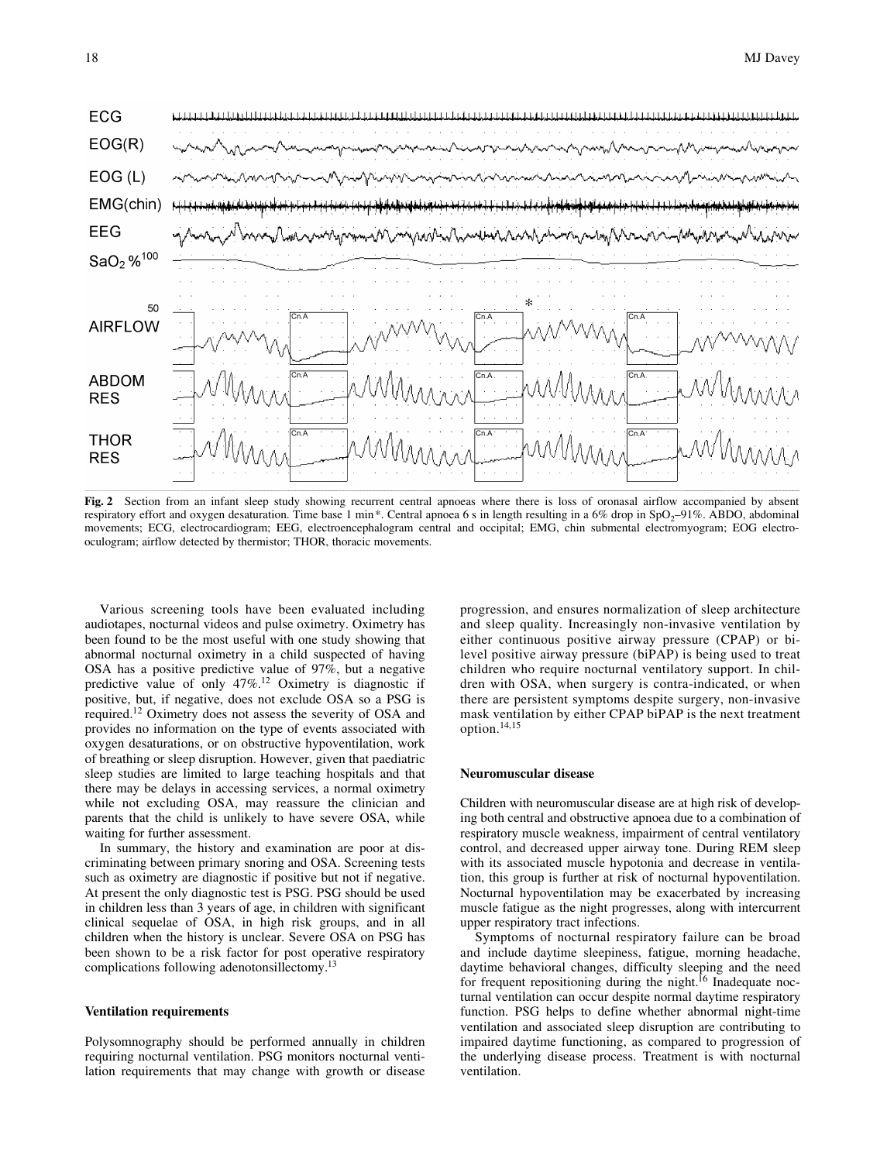

Fig. 2 Section from an infant sleep study showing recurrent central apnoeas where there is loss of oronasal airflow accompanied by absent respiratory effort and oxygen desaturation. Time base 1 min<sup>\*</sup>. Central apnoea 6 s in length resulting in a 6% drop in SpO<sub>2</sub>–91%. ABDO, abdominal movements; ECG, electrocardiogram; EEG, electroencephalogram central and occipital; EMG, chin submental electromyogram; EOG electrooculogram; airflow detected by thermistor; THOR, thoracic movements.

Various screening tools have been evaluated including audiotapes, nocturnal videos and pulse oximetry. Oximetry has been found to be the most useful with one study showing that abnormal nocturnal oximetry in a child suspected of having OSA has a positive predictive value of 97%, but a negative predictive value of only 47%.<sup>12</sup> Oximetry is diagnostic if positive, but, if negative, does not exclude OSA so a PSG is required.12 Oximetry does not assess the severity of OSA and provides no information on the type of events associated with oxygen desaturations, or on obstructive hypoventilation, work of breathing or sleep disruption. However, given that paediatric sleep studies are limited to large teaching hospitals and that there may be delays in accessing services, a normal oximetry while not excluding OSA, may reassure the clinician and parents that the child is unlikely to have severe OSA, while waiting for further assessment.

In summary, the history and examination are poor at discriminating between primary snoring and OSA. Screening tests such as oximetry are diagnostic if positive but not if negative. At present the only diagnostic test is PSG. PSG should be used in children less than 3 years of age, in children with significant clinical sequelae of OSA, in high risk groups, and in all children when the history is unclear. Severe OSA on PSG has been shown to be a risk factor for post operative respiratory complications following adenotonsillectomy.13

#### **Ventilation requirements**

Polysomnography should be performed annually in children requiring nocturnal ventilation. PSG monitors nocturnal ventilation requirements that may change with growth or disease

progression, and ensures normalization of sleep architecture and sleep quality. Increasingly non-invasive ventilation by either continuous positive airway pressure (CPAP) or bilevel positive airway pressure (biPAP) is being used to treat children who require nocturnal ventilatory support. In children with OSA, when surgery is contra-indicated, or when there are persistent symptoms despite surgery, non-invasive mask ventilation by either CPAP biPAP is the next treatment option.14,15

#### **Neuromuscular disease**

Children with neuromuscular disease are at high risk of developing both central and obstructive apnoea due to a combination of respiratory muscle weakness, impairment of central ventilatory control, and decreased upper airway tone. During REM sleep with its associated muscle hypotonia and decrease in ventilation, this group is further at risk of nocturnal hypoventilation. Nocturnal hypoventilation may be exacerbated by increasing muscle fatigue as the night progresses, along with intercurrent upper respiratory tract infections.

Symptoms of nocturnal respiratory failure can be broad and include daytime sleepiness, fatigue, morning headache, daytime behavioral changes, difficulty sleeping and the need for frequent repositioning during the night.<sup>16</sup> Inadequate nocturnal ventilation can occur despite normal daytime respiratory function. PSG helps to define whether abnormal night-time ventilation and associated sleep disruption are contributing to impaired daytime functioning, as compared to progression of the underlying disease process. Treatment is with nocturnal ventilation.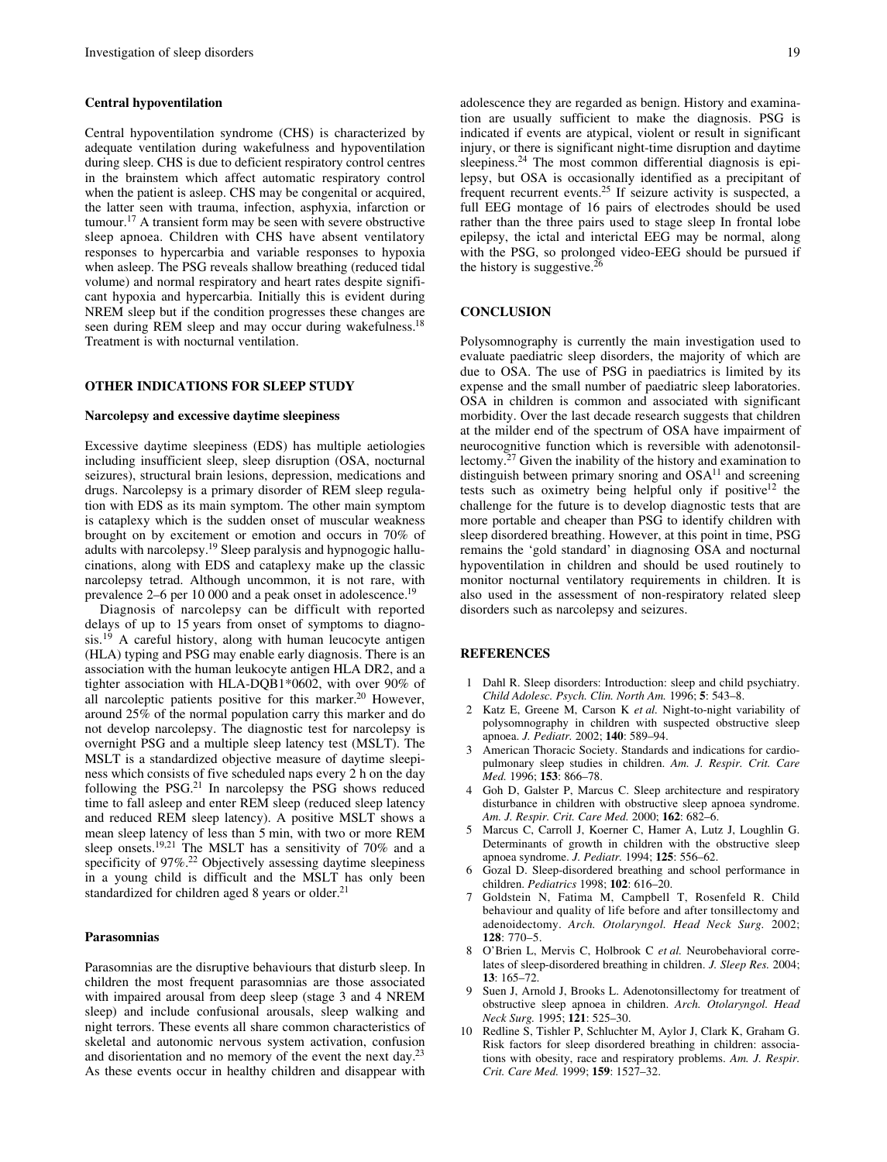#### **Central hypoventilation**

Central hypoventilation syndrome (CHS) is characterized by adequate ventilation during wakefulness and hypoventilation during sleep. CHS is due to deficient respiratory control centres in the brainstem which affect automatic respiratory control when the patient is asleep. CHS may be congenital or acquired, the latter seen with trauma, infection, asphyxia, infarction or tumour.17 A transient form may be seen with severe obstructive sleep apnoea. Children with CHS have absent ventilatory responses to hypercarbia and variable responses to hypoxia when asleep. The PSG reveals shallow breathing (reduced tidal volume) and normal respiratory and heart rates despite significant hypoxia and hypercarbia. Initially this is evident during NREM sleep but if the condition progresses these changes are seen during REM sleep and may occur during wakefulness.<sup>18</sup> Treatment is with nocturnal ventilation.

#### **OTHER INDICATIONS FOR SLEEP STUDY**

#### **Narcolepsy and excessive daytime sleepiness**

Excessive daytime sleepiness (EDS) has multiple aetiologies including insufficient sleep, sleep disruption (OSA, nocturnal seizures), structural brain lesions, depression, medications and drugs. Narcolepsy is a primary disorder of REM sleep regulation with EDS as its main symptom. The other main symptom is cataplexy which is the sudden onset of muscular weakness brought on by excitement or emotion and occurs in 70% of adults with narcolepsy.<sup>19</sup> Sleep paralysis and hypnogogic hallucinations, along with EDS and cataplexy make up the classic narcolepsy tetrad. Although uncommon, it is not rare, with prevalence 2–6 per 10 000 and a peak onset in adolescence.<sup>19</sup>

Diagnosis of narcolepsy can be difficult with reported delays of up to 15 years from onset of symptoms to diagno- $\sin^{-19}$  A careful history, along with human leucocyte antigen (HLA) typing and PSG may enable early diagnosis. There is an association with the human leukocyte antigen HLA DR2, and a tighter association with HLA-DQB1\*0602, with over 90% of all narcoleptic patients positive for this marker.<sup>20</sup> However, around 25% of the normal population carry this marker and do not develop narcolepsy. The diagnostic test for narcolepsy is overnight PSG and a multiple sleep latency test (MSLT). The MSLT is a standardized objective measure of daytime sleepiness which consists of five scheduled naps every 2 h on the day following the PSG.<sup>21</sup> In narcolepsy the PSG shows reduced time to fall asleep and enter REM sleep (reduced sleep latency and reduced REM sleep latency). A positive MSLT shows a mean sleep latency of less than 5 min, with two or more REM sleep onsets.19,21 The MSLT has a sensitivity of 70% and a specificity of  $97\%$ .<sup>22</sup> Objectively assessing daytime sleepiness in a young child is difficult and the MSLT has only been standardized for children aged 8 years or older.<sup>21</sup>

## **Parasomnias**

Parasomnias are the disruptive behaviours that disturb sleep. In children the most frequent parasomnias are those associated with impaired arousal from deep sleep (stage 3 and 4 NREM sleep) and include confusional arousals, sleep walking and night terrors. These events all share common characteristics of skeletal and autonomic nervous system activation, confusion and disorientation and no memory of the event the next day.<sup>23</sup> As these events occur in healthy children and disappear with

adolescence they are regarded as benign. History and examination are usually sufficient to make the diagnosis. PSG is indicated if events are atypical, violent or result in significant injury, or there is significant night-time disruption and daytime sleepiness.24 The most common differential diagnosis is epilepsy, but OSA is occasionally identified as a precipitant of frequent recurrent events.25 If seizure activity is suspected, a full EEG montage of 16 pairs of electrodes should be used rather than the three pairs used to stage sleep In frontal lobe epilepsy, the ictal and interictal EEG may be normal, along with the PSG, so prolonged video-EEG should be pursued if the history is suggestive.26

#### **CONCLUSION**

Polysomnography is currently the main investigation used to evaluate paediatric sleep disorders, the majority of which are due to OSA. The use of PSG in paediatrics is limited by its expense and the small number of paediatric sleep laboratories. OSA in children is common and associated with significant morbidity. Over the last decade research suggests that children at the milder end of the spectrum of OSA have impairment of neurocognitive function which is reversible with adenotonsillectomy.27 Given the inability of the history and examination to distinguish between primary snoring and  $OSA<sup>11</sup>$  and screening tests such as oximetry being helpful only if positive<sup>12</sup> the challenge for the future is to develop diagnostic tests that are more portable and cheaper than PSG to identify children with sleep disordered breathing. However, at this point in time, PSG remains the 'gold standard' in diagnosing OSA and nocturnal hypoventilation in children and should be used routinely to monitor nocturnal ventilatory requirements in children. It is also used in the assessment of non-respiratory related sleep disorders such as narcolepsy and seizures.

#### **REFERENCES**

- 1 Dahl R. Sleep disorders: Introduction: sleep and child psychiatry. *Child Adolesc. Psych. Clin. North Am.* 1996; **5**: 543–8.
- 2 Katz E, Greene M, Carson K *et al.* Night-to-night variability of polysomnography in children with suspected obstructive sleep apnoea. *J. Pediatr.* 2002; **140**: 589–94.
- 3 American Thoracic Society. Standards and indications for cardiopulmonary sleep studies in children. *Am. J. Respir. Crit. Care Med.* 1996; **153**: 866–78.
- 4 Goh D, Galster P, Marcus C. Sleep architecture and respiratory disturbance in children with obstructive sleep apnoea syndrome. *Am. J. Respir. Crit. Care Med.* 2000; **162**: 682–6.
- 5 Marcus C, Carroll J, Koerner C, Hamer A, Lutz J, Loughlin G. Determinants of growth in children with the obstructive sleep apnoea syndrome. *J. Pediatr.* 1994; **125**: 556–62.
- 6 Gozal D. Sleep-disordered breathing and school performance in children. *Pediatrics* 1998; **102**: 616–20.
- 7 Goldstein N, Fatima M, Campbell T, Rosenfeld R. Child behaviour and quality of life before and after tonsillectomy and adenoidectomy. *Arch. Otolaryngol. Head Neck Surg.* 2002; **128**: 770–5.
- 8 O'Brien L, Mervis C, Holbrook C *et al.* Neurobehavioral correlates of sleep-disordered breathing in children. *J. Sleep Res.* 2004; **13**: 165–72.
- 9 Suen J, Arnold J, Brooks L. Adenotonsillectomy for treatment of obstructive sleep apnoea in children. *Arch. Otolaryngol. Head Neck Surg.* 1995; **121**: 525–30.
- 10 Redline S, Tishler P, Schluchter M, Aylor J, Clark K, Graham G. Risk factors for sleep disordered breathing in children: associations with obesity, race and respiratory problems. *Am. J. Respir. Crit. Care Med.* 1999; **159**: 1527–32.